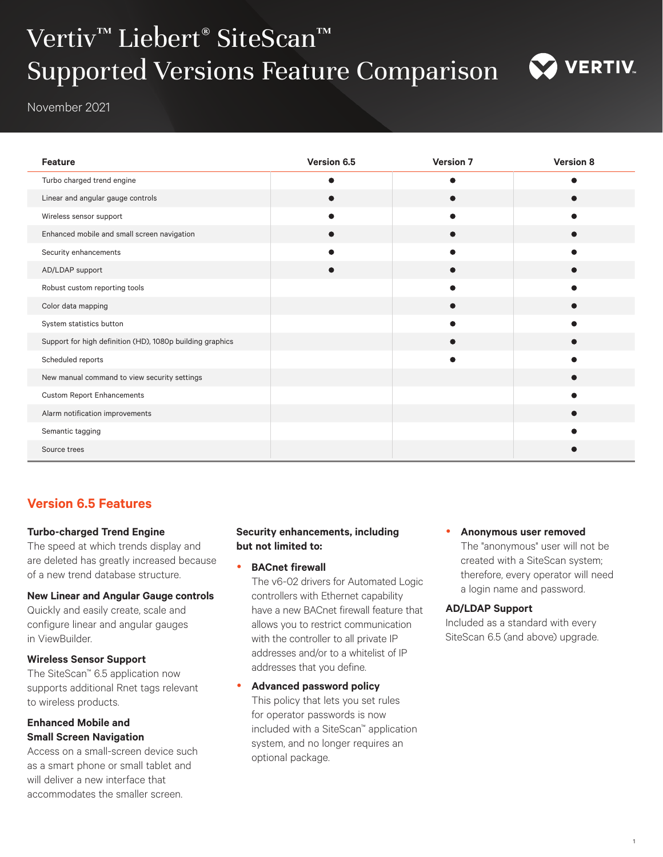# Vertiv™ Liebert® SiteScan™ Supported Versions Feature Comparison



November 2021

| <b>Feature</b>                                            | Version 6.5 | <b>Version 7</b> | <b>Version 8</b> |
|-----------------------------------------------------------|-------------|------------------|------------------|
| Turbo charged trend engine                                |             |                  |                  |
| Linear and angular gauge controls                         |             |                  |                  |
| Wireless sensor support                                   |             |                  |                  |
| Enhanced mobile and small screen navigation               | $\bullet$   |                  |                  |
| Security enhancements                                     |             |                  |                  |
| AD/LDAP support                                           |             |                  |                  |
| Robust custom reporting tools                             |             |                  |                  |
| Color data mapping                                        |             |                  |                  |
| System statistics button                                  |             |                  |                  |
| Support for high definition (HD), 1080p building graphics |             |                  |                  |
| Scheduled reports                                         |             |                  |                  |
| New manual command to view security settings              |             |                  |                  |
| <b>Custom Report Enhancements</b>                         |             |                  |                  |
| Alarm notification improvements                           |             |                  |                  |
| Semantic tagging                                          |             |                  |                  |
| Source trees                                              |             |                  |                  |

## **Version 6.5 Features**

#### **Turbo-charged Trend Engine**

The speed at which trends display and are deleted has greatly increased because of a new trend database structure.

#### **New Linear and Angular Gauge controls**

Quickly and easily create, scale and configure linear and angular gauges in ViewBuilder.

#### **Wireless Sensor Support**

The SiteScan™ 6.5 application now supports additional Rnet tags relevant to wireless products.

#### **Enhanced Mobile and Small Screen Navigation**

Access on a small-screen device such as a smart phone or small tablet and will deliver a new interface that accommodates the smaller screen.

#### **Security enhancements, including but not limited to:**

**BACnet firewall** 

The v6-02 drivers for Automated Logic controllers with Ethernet capability have a new BACnet firewall feature that allows you to restrict communication with the controller to all private IP addresses and/or to a whitelist of IP addresses that you define.

## y **Advanced password policy**

This policy that lets you set rules for operator passwords is now included with a SiteScan™ application system, and no longer requires an optional package.

## y **Anonymous user removed**

The "anonymous" user will not be created with a SiteScan system; therefore, every operator will need a login name and password.

#### **AD/LDAP Support**

Included as a standard with every SiteScan 6.5 (and above) upgrade.